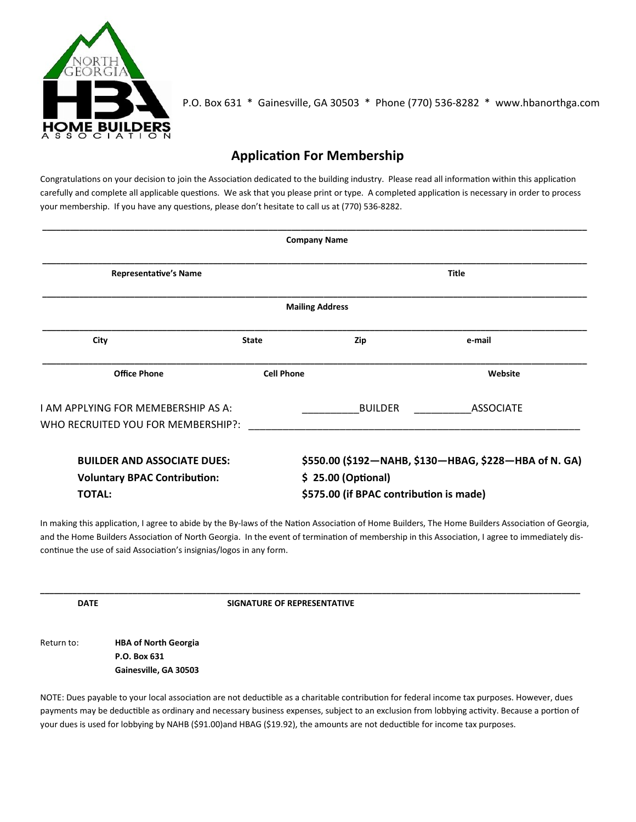

P.O. Box 631 \* Gainesville, GA 30503 \* Phone (770) 536-8282 \* www.hbanorthga.com

## **Application For Membership**

Congratulations on your decision to join the Association dedicated to the building industry. Please read all information within this application carefully and complete all applicable questions. We ask that you please print or type. A completed application is necessary in order to process your membership. If you have any questions, please don't hesitate to call us at (770) 536-8282.

| <b>Company Name</b>                                                                        |                   |                                                                                                                         |                  |  |  |  |  |
|--------------------------------------------------------------------------------------------|-------------------|-------------------------------------------------------------------------------------------------------------------------|------------------|--|--|--|--|
| <b>Representative's Name</b>                                                               |                   | <b>Title</b>                                                                                                            |                  |  |  |  |  |
| <b>Mailing Address</b>                                                                     |                   |                                                                                                                         |                  |  |  |  |  |
| City<br><b>State</b>                                                                       |                   | Zip                                                                                                                     | e-mail           |  |  |  |  |
| <b>Office Phone</b>                                                                        | <b>Cell Phone</b> |                                                                                                                         | Website          |  |  |  |  |
| I AM APPLYING FOR MEMEBERSHIP AS A:<br>WHO RECRUITED YOU FOR MEMBERSHIP?:                  |                   | BUILDER                                                                                                                 | <b>ASSOCIATE</b> |  |  |  |  |
| <b>BUILDER AND ASSOCIATE DUES:</b><br><b>Voluntary BPAC Contribution:</b><br><b>TOTAL:</b> |                   | \$550.00 (\$192-NAHB, \$130-HBAG, \$228-HBA of N. GA)<br>$$25.00$ (Optional)<br>\$575.00 (if BPAC contribution is made) |                  |  |  |  |  |

In making this application, I agree to abide by the By-laws of the Nation Association of Home Builders, The Home Builders Association of Georgia, and the Home Builders Association of North Georgia. In the event of termination of membership in this Association, I agree to immediately discontinue the use of said Association's insignias/logos in any form.

**\_\_\_\_\_\_\_\_\_\_\_\_\_\_\_\_\_\_\_\_\_\_\_\_\_\_\_\_\_\_\_\_\_\_\_\_\_\_\_\_\_\_\_\_\_\_\_\_\_\_\_\_\_\_\_\_\_\_\_\_\_\_\_\_\_\_\_\_\_\_\_\_\_\_\_\_\_\_\_\_\_\_\_\_\_\_\_\_\_\_\_\_\_\_\_\_\_\_\_\_\_\_\_\_\_\_\_\_\_\_\_\_\_\_\_\_\_**

**DATE** SIGNATURE OF REPRESENTATIVE

Return to: **HBA of North Georgia P.O. Box 631 Gainesville, GA 30503** 

NOTE: Dues payable to your local association are not deductible as a charitable contribution for federal income tax purposes. However, dues payments may be deductible as ordinary and necessary business expenses, subject to an exclusion from lobbying activity. Because a portion of your dues is used for lobbying by NAHB (\$91.00)and HBAG (\$19.92), the amounts are not deductible for income tax purposes.